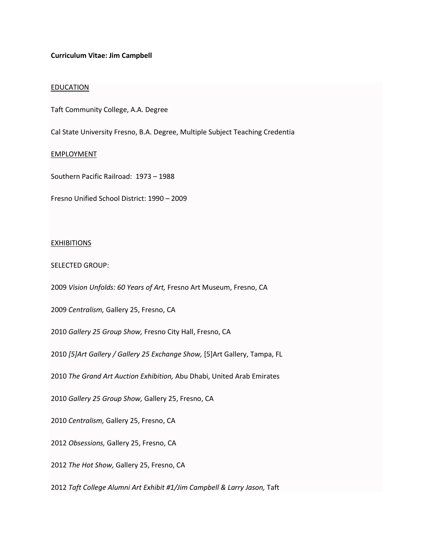## **Curriculum Vitae: Jim Campbell**

## EDUCATION

Taft Community College, A.A. Degree

Cal State University Fresno, B.A. Degree, Multiple Subject Teaching Credentia

# EMPLOYMENT

Southern Pacific Railroad: 1973 – 1988

Fresno Unified School District: 1990 – 2009

### **EXHIBITIONS**

#### SELECTED GROUP:

2009 *Vision Unfolds: 60 Years of Art,* Fresno Art Museum, Fresno, CA

2009 *Centralism,* Gallery 25, Fresno, CA

2010 *Gallery 25 Group Show,* Fresno City Hall, Fresno, CA

2010 *[5]Art Gallery / Gallery 25 Exchange Show,* [5]Art Gallery, Tampa, FL

2010 *The Grand Art Auction Exhibition,* Abu Dhabi, United Arab Emirates

2010 *Gallery 25 Group Show,* Gallery 25, Fresno, CA

2010 *Centralism,* Gallery 25, Fresno, CA

2012 *Obsessions,* Gallery 25, Fresno, CA

2012 *The Hot Show,* Gallery 25, Fresno, CA

2012 *Taft College Alumni Art Exhibit #1/Jim Campbell & Larry Jason,* Taft